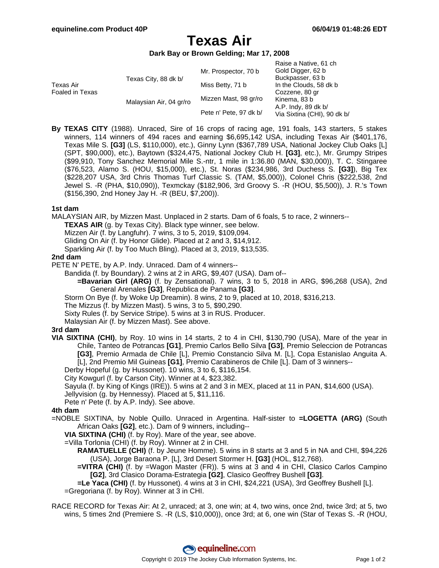# **Texas Air**

## **Dark Bay or Brown Gelding; Mar 17, 2008**

|                              |                         |                        | Raise a Native, 61 ch       |
|------------------------------|-------------------------|------------------------|-----------------------------|
| Texas Air<br>Foaled in Texas | Texas City, 88 dk b/    | Mr. Prospector, 70 b   | Gold Digger, 62 b           |
|                              |                         |                        | Buckpasser, 63 b            |
|                              |                         | Miss Betty, 71 b       | In the Clouds, 58 dk b      |
|                              |                         |                        | Cozzene, 80 gr              |
|                              | Malaysian Air, 04 gr/ro | Mizzen Mast, 98 gr/ro  | Kinema, 83 b                |
|                              |                         |                        | A.P. Indy, 89 dk b/         |
|                              |                         | Pete n' Pete, 97 dk b/ | Via Sixtina (CHI), 90 dk b/ |
|                              |                         |                        |                             |

**By TEXAS CITY** (1988). Unraced, Sire of 16 crops of racing age, 191 foals, 143 starters, 5 stakes winners, 114 winners of 494 races and earning \$6,695,142 USA, including Texas Air (\$401,176, Texas Mile S. **[G3]** (LS, \$110,000), etc.), Ginny Lynn (\$367,789 USA, National Jockey Club Oaks [L] (SPT, \$90,000), etc.), Baytown (\$324,475, National Jockey Club H. **[G3]**, etc.), Mr. Grumpy Stripes (\$99,910, Tony Sanchez Memorial Mile S.-ntr, 1 mile in 1:36.80 (MAN, \$30,000)), T. C. Stingaree (\$76,523, Alamo S. (HOU, \$15,000), etc.), St. Noras (\$234,986, 3rd Duchess S. **[G3]**), Big Tex (\$228,207 USA, 3rd Chris Thomas Turf Classic S. (TAM, \$5,000)), Colonel Chris (\$222,538, 2nd Jewel S. -R (PHA, \$10,090)), Texmckay (\$182,906, 3rd Groovy S. -R (HOU, \$5,500)), J. R.'s Town (\$156,390, 2nd Honey Jay H. -R (BEU, \$7,200)).

### **1st dam**

MALAYSIAN AIR, by Mizzen Mast. Unplaced in 2 starts. Dam of 6 foals, 5 to race, 2 winners--

**TEXAS AIR** (g. by Texas City). Black type winner, see below.

Mizzen Air (f. by Langfuhr). 7 wins, 3 to 5, 2019, \$109,094.

Gliding On Air (f. by Honor Glide). Placed at 2 and 3, \$14,912.

Sparkling Air (f. by Too Much Bling). Placed at 3, 2019, \$13,535.

#### **2nd dam**

PETE N' PETE, by A.P. Indy. Unraced. Dam of 4 winners--

Bandida (f. by Boundary). 2 wins at 2 in ARG, \$9,407 (USA). Dam of--

- **=Bavarian Girl (ARG)** (f. by Zensational). 7 wins, 3 to 5, 2018 in ARG, \$96,268 (USA), 2nd General Arenales **[G3]**, Republica de Panama **[G3]**.
- Storm On Bye (f. by Woke Up Dreamin). 8 wins, 2 to 9, placed at 10, 2018, \$316,213.

The Mizzus (f. by Mizzen Mast). 5 wins, 3 to 5, \$90,290.

Sixty Rules (f. by Service Stripe). 5 wins at 3 in RUS. Producer.

Malaysian Air (f. by Mizzen Mast). See above.

#### **3rd dam**

**VIA SIXTINA (CHI)**, by Roy. 10 wins in 14 starts, 2 to 4 in CHI, \$130,790 (USA), Mare of the year in Chile, Tanteo de Potrancas **[G1]**, Premio Carlos Bello Silva **[G3]**, Premio Seleccion de Potrancas **[G3]**, Premio Armada de Chile [L], Premio Constancio Silva M. [L], Copa Estanislao Anguita A. [L], 2nd Premio Mil Guineas **[G1]**, Premio Carabineros de Chile [L]. Dam of 3 winners--

Derby Hopeful (g. by Hussonet). 10 wins, 3 to 6, \$116,154.

City Kowgurl (f. by Carson City). Winner at 4, \$23,382.

Sayula (f. by King of Kings (IRE)). 5 wins at 2 and 3 in MEX, placed at 11 in PAN, \$14,600 (USA).

Jellyvision (g. by Hennessy). Placed at 5, \$11,116.

Pete n' Pete (f. by A.P. Indy). See above.

## **4th dam**

=NOBLE SIXTINA, by Noble Quillo. Unraced in Argentina. Half-sister to **=LOGETTA (ARG)** (South African Oaks **[G2]**, etc.). Dam of 9 winners, including--

**VIA SIXTINA (CHI)** (f. by Roy). Mare of the year, see above.

=Villa Torlonia (CHI) (f. by Roy). Winner at 2 in CHI.

**RAMATUELLE (CHI)** (f. by Jeune Homme). 5 wins in 8 starts at 3 and 5 in NA and CHI, \$94,226 (USA), Jorge Baraona P. [L], 3rd Desert Stormer H. **[G3]** (HOL, \$12,768).

**=VITRA (CHI)** (f. by =Wagon Master (FR)). 5 wins at 3 and 4 in CHI, Clasico Carlos Campino **[G2]**, 3rd Clasico Dorama-Estrategia **[G2]**, Clasico Geoffrey Bushell **[G3]**.

**=Le Yaca (CHI)** (f. by Hussonet). 4 wins at 3 in CHI, \$24,221 (USA), 3rd Geoffrey Bushell [L]. =Gregoriana (f. by Roy). Winner at 3 in CHI.

RACE RECORD for Texas Air: At 2, unraced; at 3, one win; at 4, two wins, once 2nd, twice 3rd; at 5, two wins, 5 times 2nd (Premiere S. -R (LS, \$10,000)), once 3rd; at 6, one win (Star of Texas S. -R (HOU,